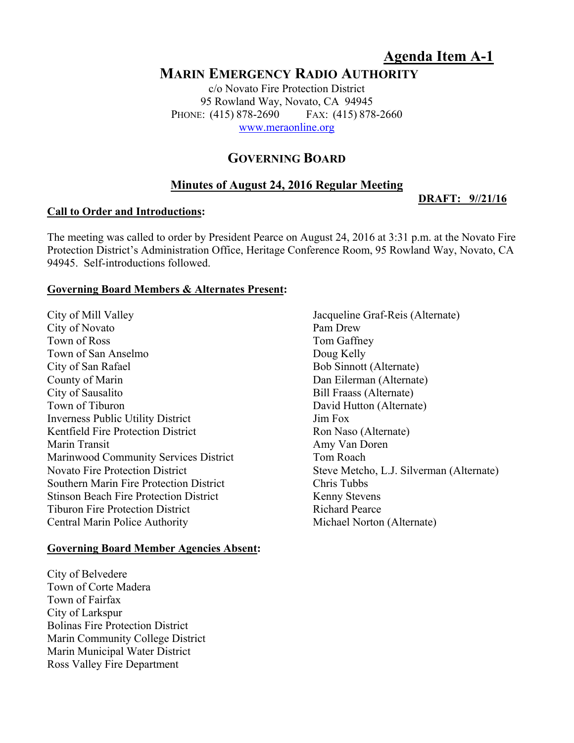# **Agenda Item A-1**

**DRAFT: 9//21/16** 

## **MARIN EMERGENCY RADIO AUTHORITY**

c/o Novato Fire Protection District 95 Rowland Way, Novato, CA 94945 PHONE: (415) 878-2690 FAX: (415) 878-2660 www.meraonline.org

## **GOVERNING BOARD**

## **Minutes of August 24, 2016 Regular Meeting**

#### **Call to Order and Introductions:**

The meeting was called to order by President Pearce on August 24, 2016 at 3:31 p.m. at the Novato Fire Protection District's Administration Office, Heritage Conference Room, 95 Rowland Way, Novato, CA 94945. Self-introductions followed.

#### **Governing Board Members & Alternates Present:**

City of Mill Valley Jacqueline Graf-Reis (Alternate) City of Novato Pam Drew Town of Ross Tom Gaffney Town of San Anselmo Doug Kelly City of San Rafael Bob Sinnott (Alternate) County of Marin Dan Eilerman (Alternate) City of Sausalito Bill Fraass (Alternate) Town of Tiburon David Hutton (Alternate) Inverness Public Utility District Jim Fox Kentfield Fire Protection District Ron Naso (Alternate) Marin Transit Amy Van Doren Marinwood Community Services District Tom Roach Novato Fire Protection District Steve Metcho, L.J. Silverman (Alternate) Southern Marin Fire Protection District Chris Tubbs Stinson Beach Fire Protection District Kenny Stevens Tiburon Fire Protection District Tiburon Richard Pearce Central Marin Police Authority **Michael Norton (Alternate)** Michael Norton (Alternate)

#### **Governing Board Member Agencies Absent:**

City of Belvedere Town of Corte Madera Town of Fairfax City of Larkspur Bolinas Fire Protection District Marin Community College District Marin Municipal Water District Ross Valley Fire Department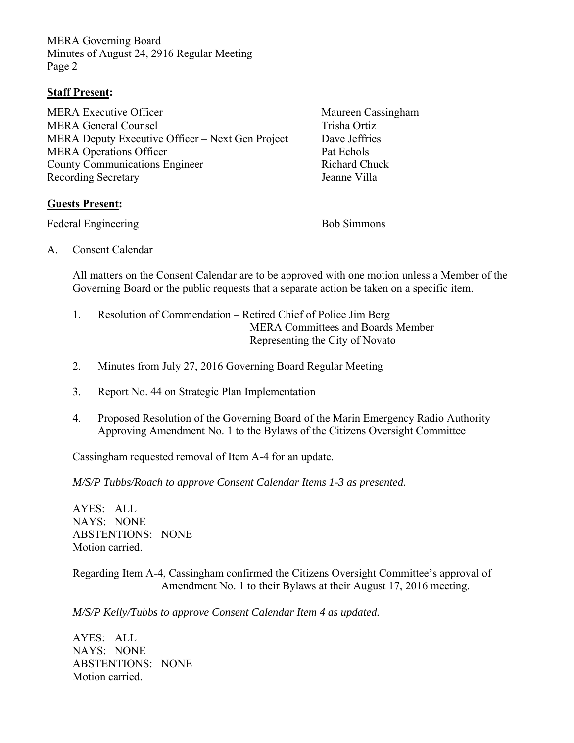MERA Governing Board Minutes of August 24, 2916 Regular Meeting Page 2

### **Staff Present:**

MERA Executive Officer Maureen Cassingham MERA General Counsel **Trisha Ortiz** Trisha Ortiz MERA Deputy Executive Officer – Next Gen Project Dave Jeffries MERA Operations Officer Pat Echols County Communications Engineer Richard Chuck Recording Secretary **Identifiant** Jeanne Villa

## **Guests Present:**

Federal Engineering Bob Simmons

A. Consent Calendar

All matters on the Consent Calendar are to be approved with one motion unless a Member of the Governing Board or the public requests that a separate action be taken on a specific item.

- 1. Resolution of Commendation Retired Chief of Police Jim Berg MERA Committees and Boards Member Representing the City of Novato
- 2. Minutes from July 27, 2016 Governing Board Regular Meeting
- 3. Report No. 44 on Strategic Plan Implementation
- 4. Proposed Resolution of the Governing Board of the Marin Emergency Radio Authority Approving Amendment No. 1 to the Bylaws of the Citizens Oversight Committee

Cassingham requested removal of Item A-4 for an update.

*M/S/P Tubbs/Roach to approve Consent Calendar Items 1-3 as presented.* 

AYES: ALL NAYS: NONE ABSTENTIONS: NONE Motion carried.

Regarding Item A-4, Cassingham confirmed the Citizens Oversight Committee's approval of Amendment No. 1 to their Bylaws at their August 17, 2016 meeting.

*M/S/P Kelly/Tubbs to approve Consent Calendar Item 4 as updated.* 

AYES: ALL NAYS: NONE ABSTENTIONS: NONE Motion carried.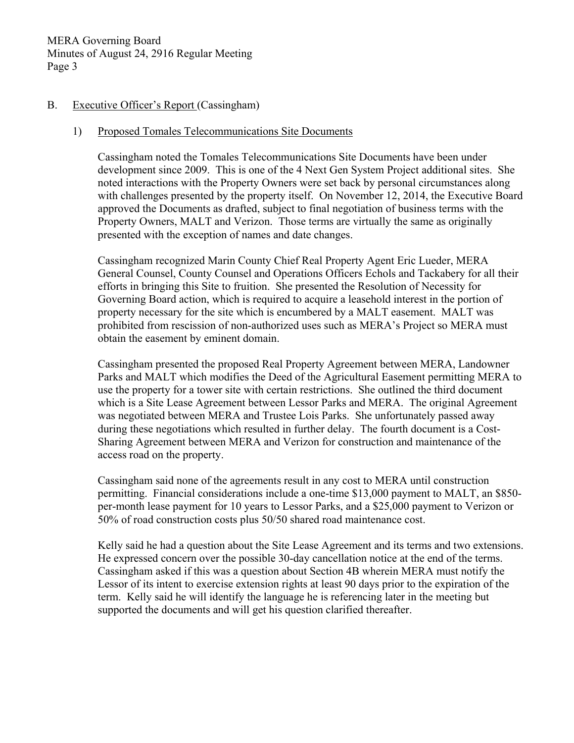#### B. Executive Officer's Report (Cassingham)

#### 1) Proposed Tomales Telecommunications Site Documents

Cassingham noted the Tomales Telecommunications Site Documents have been under development since 2009. This is one of the 4 Next Gen System Project additional sites. She noted interactions with the Property Owners were set back by personal circumstances along with challenges presented by the property itself. On November 12, 2014, the Executive Board approved the Documents as drafted, subject to final negotiation of business terms with the Property Owners, MALT and Verizon. Those terms are virtually the same as originally presented with the exception of names and date changes.

Cassingham recognized Marin County Chief Real Property Agent Eric Lueder, MERA General Counsel, County Counsel and Operations Officers Echols and Tackabery for all their efforts in bringing this Site to fruition. She presented the Resolution of Necessity for Governing Board action, which is required to acquire a leasehold interest in the portion of property necessary for the site which is encumbered by a MALT easement. MALT was prohibited from rescission of non-authorized uses such as MERA's Project so MERA must obtain the easement by eminent domain.

Cassingham presented the proposed Real Property Agreement between MERA, Landowner Parks and MALT which modifies the Deed of the Agricultural Easement permitting MERA to use the property for a tower site with certain restrictions. She outlined the third document which is a Site Lease Agreement between Lessor Parks and MERA. The original Agreement was negotiated between MERA and Trustee Lois Parks. She unfortunately passed away during these negotiations which resulted in further delay. The fourth document is a Cost-Sharing Agreement between MERA and Verizon for construction and maintenance of the access road on the property.

Cassingham said none of the agreements result in any cost to MERA until construction permitting. Financial considerations include a one-time \$13,000 payment to MALT, an \$850 per-month lease payment for 10 years to Lessor Parks, and a \$25,000 payment to Verizon or 50% of road construction costs plus 50/50 shared road maintenance cost.

Kelly said he had a question about the Site Lease Agreement and its terms and two extensions. He expressed concern over the possible 30-day cancellation notice at the end of the terms. Cassingham asked if this was a question about Section 4B wherein MERA must notify the Lessor of its intent to exercise extension rights at least 90 days prior to the expiration of the term. Kelly said he will identify the language he is referencing later in the meeting but supported the documents and will get his question clarified thereafter.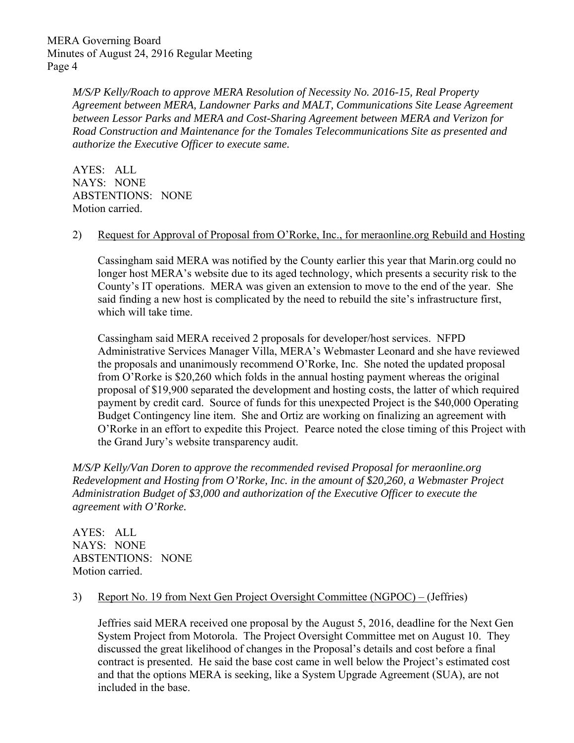MERA Governing Board Minutes of August 24, 2916 Regular Meeting Page 4

> *M/S/P Kelly/Roach to approve MERA Resolution of Necessity No. 2016-15, Real Property Agreement between MERA, Landowner Parks and MALT, Communications Site Lease Agreement between Lessor Parks and MERA and Cost-Sharing Agreement between MERA and Verizon for Road Construction and Maintenance for the Tomales Telecommunications Site as presented and authorize the Executive Officer to execute same.*

AYES: ALL NAYS: NONE ABSTENTIONS: NONE Motion carried.

#### 2) Request for Approval of Proposal from O'Rorke, Inc., for meraonline.org Rebuild and Hosting

Cassingham said MERA was notified by the County earlier this year that Marin.org could no longer host MERA's website due to its aged technology, which presents a security risk to the County's IT operations. MERA was given an extension to move to the end of the year. She said finding a new host is complicated by the need to rebuild the site's infrastructure first, which will take time.

Cassingham said MERA received 2 proposals for developer/host services. NFPD Administrative Services Manager Villa, MERA's Webmaster Leonard and she have reviewed the proposals and unanimously recommend O'Rorke, Inc. She noted the updated proposal from O'Rorke is \$20,260 which folds in the annual hosting payment whereas the original proposal of \$19,900 separated the development and hosting costs, the latter of which required payment by credit card. Source of funds for this unexpected Project is the \$40,000 Operating Budget Contingency line item. She and Ortiz are working on finalizing an agreement with O'Rorke in an effort to expedite this Project. Pearce noted the close timing of this Project with the Grand Jury's website transparency audit.

*M/S/P Kelly/Van Doren to approve the recommended revised Proposal for meraonline.org Redevelopment and Hosting from O'Rorke, Inc. in the amount of \$20,260, a Webmaster Project Administration Budget of \$3,000 and authorization of the Executive Officer to execute the agreement with O'Rorke.* 

AYES: ALL NAYS: NONE ABSTENTIONS: NONE Motion carried.

#### 3) Report No. 19 from Next Gen Project Oversight Committee (NGPOC) – (Jeffries)

Jeffries said MERA received one proposal by the August 5, 2016, deadline for the Next Gen System Project from Motorola. The Project Oversight Committee met on August 10. They discussed the great likelihood of changes in the Proposal's details and cost before a final contract is presented. He said the base cost came in well below the Project's estimated cost and that the options MERA is seeking, like a System Upgrade Agreement (SUA), are not included in the base.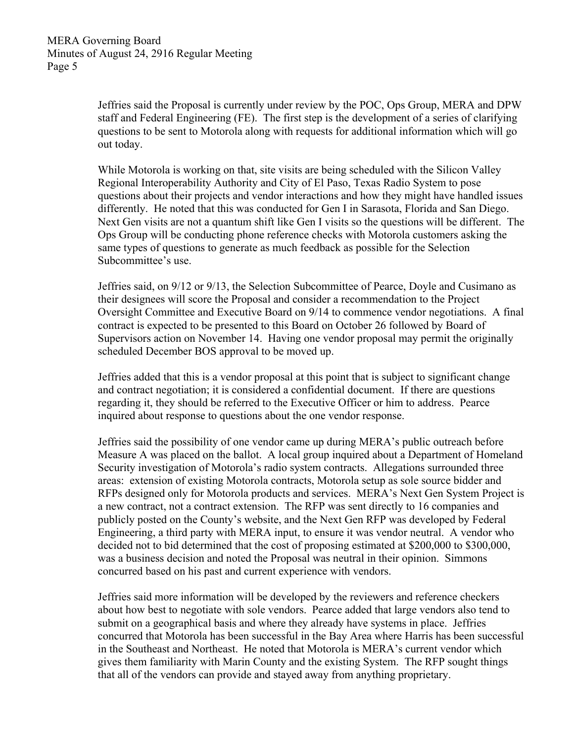Jeffries said the Proposal is currently under review by the POC, Ops Group, MERA and DPW staff and Federal Engineering (FE). The first step is the development of a series of clarifying questions to be sent to Motorola along with requests for additional information which will go out today.

While Motorola is working on that, site visits are being scheduled with the Silicon Valley Regional Interoperability Authority and City of El Paso, Texas Radio System to pose questions about their projects and vendor interactions and how they might have handled issues differently. He noted that this was conducted for Gen I in Sarasota, Florida and San Diego. Next Gen visits are not a quantum shift like Gen I visits so the questions will be different. The Ops Group will be conducting phone reference checks with Motorola customers asking the same types of questions to generate as much feedback as possible for the Selection Subcommittee's use.

Jeffries said, on 9/12 or 9/13, the Selection Subcommittee of Pearce, Doyle and Cusimano as their designees will score the Proposal and consider a recommendation to the Project Oversight Committee and Executive Board on 9/14 to commence vendor negotiations. A final contract is expected to be presented to this Board on October 26 followed by Board of Supervisors action on November 14. Having one vendor proposal may permit the originally scheduled December BOS approval to be moved up.

Jeffries added that this is a vendor proposal at this point that is subject to significant change and contract negotiation; it is considered a confidential document. If there are questions regarding it, they should be referred to the Executive Officer or him to address. Pearce inquired about response to questions about the one vendor response.

Jeffries said the possibility of one vendor came up during MERA's public outreach before Measure A was placed on the ballot. A local group inquired about a Department of Homeland Security investigation of Motorola's radio system contracts. Allegations surrounded three areas: extension of existing Motorola contracts, Motorola setup as sole source bidder and RFPs designed only for Motorola products and services. MERA's Next Gen System Project is a new contract, not a contract extension. The RFP was sent directly to 16 companies and publicly posted on the County's website, and the Next Gen RFP was developed by Federal Engineering, a third party with MERA input, to ensure it was vendor neutral. A vendor who decided not to bid determined that the cost of proposing estimated at \$200,000 to \$300,000, was a business decision and noted the Proposal was neutral in their opinion. Simmons concurred based on his past and current experience with vendors.

Jeffries said more information will be developed by the reviewers and reference checkers about how best to negotiate with sole vendors. Pearce added that large vendors also tend to submit on a geographical basis and where they already have systems in place. Jeffries concurred that Motorola has been successful in the Bay Area where Harris has been successful in the Southeast and Northeast. He noted that Motorola is MERA's current vendor which gives them familiarity with Marin County and the existing System. The RFP sought things that all of the vendors can provide and stayed away from anything proprietary.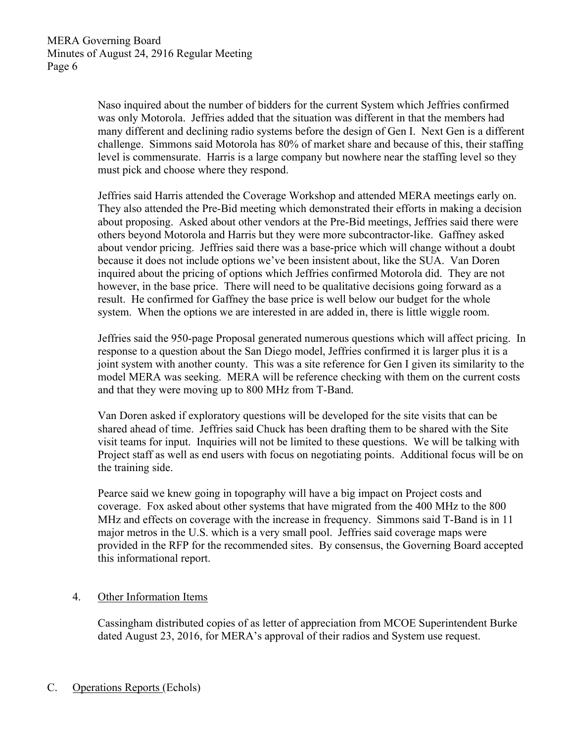Naso inquired about the number of bidders for the current System which Jeffries confirmed was only Motorola. Jeffries added that the situation was different in that the members had many different and declining radio systems before the design of Gen I. Next Gen is a different challenge. Simmons said Motorola has 80% of market share and because of this, their staffing level is commensurate. Harris is a large company but nowhere near the staffing level so they must pick and choose where they respond.

Jeffries said Harris attended the Coverage Workshop and attended MERA meetings early on. They also attended the Pre-Bid meeting which demonstrated their efforts in making a decision about proposing. Asked about other vendors at the Pre-Bid meetings, Jeffries said there were others beyond Motorola and Harris but they were more subcontractor-like. Gaffney asked about vendor pricing. Jeffries said there was a base-price which will change without a doubt because it does not include options we've been insistent about, like the SUA. Van Doren inquired about the pricing of options which Jeffries confirmed Motorola did. They are not however, in the base price. There will need to be qualitative decisions going forward as a result. He confirmed for Gaffney the base price is well below our budget for the whole system. When the options we are interested in are added in, there is little wiggle room.

Jeffries said the 950-page Proposal generated numerous questions which will affect pricing. In response to a question about the San Diego model, Jeffries confirmed it is larger plus it is a joint system with another county. This was a site reference for Gen I given its similarity to the model MERA was seeking. MERA will be reference checking with them on the current costs and that they were moving up to 800 MHz from T-Band.

Van Doren asked if exploratory questions will be developed for the site visits that can be shared ahead of time. Jeffries said Chuck has been drafting them to be shared with the Site visit teams for input. Inquiries will not be limited to these questions. We will be talking with Project staff as well as end users with focus on negotiating points. Additional focus will be on the training side.

Pearce said we knew going in topography will have a big impact on Project costs and coverage. Fox asked about other systems that have migrated from the 400 MHz to the 800 MHz and effects on coverage with the increase in frequency. Simmons said T-Band is in 11 major metros in the U.S. which is a very small pool. Jeffries said coverage maps were provided in the RFP for the recommended sites. By consensus, the Governing Board accepted this informational report.

## 4. Other Information Items

Cassingham distributed copies of as letter of appreciation from MCOE Superintendent Burke dated August 23, 2016, for MERA's approval of their radios and System use request.